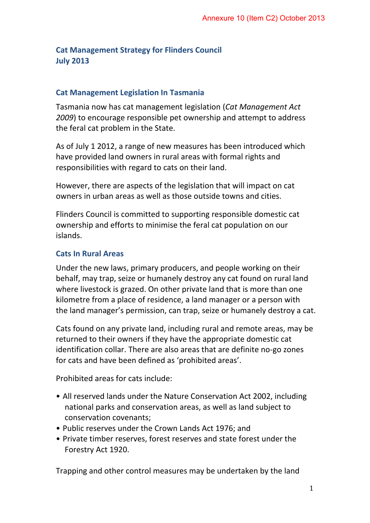## **Cat Management Strategy for Flinders Council July 2013**

## **Cat Management Legislation In Tasmania**

Tasmania now has cat management legislation (*Cat Management Act 2009*) to encourage responsible pet ownership and attempt to address the feral cat problem in the State.

As of July 1 2012, a range of new measures has been introduced which have provided land owners in rural areas with formal rights and responsibilities with regard to cats on their land.

However, there are aspects of the legislation that will impact on cat owners in urban areas as well as those outside towns and cities.

Flinders Council is committed to supporting responsible domestic cat ownership and efforts to minimise the feral cat population on our islands.

## **Cats In Rural Areas**

Under the new laws, primary producers, and people working on their behalf, may trap, seize or humanely destroy any cat found on rural land where livestock is grazed. On other private land that is more than one kilometre from a place of residence, a land manager or a person with the land manager's permission, can trap, seize or humanely destroy a cat.

Cats found on any private land, including rural and remote areas, may be returned to their owners if they have the appropriate domestic cat identification collar. There are also areas that are definite no-go zones for cats and have been defined as 'prohibited areas'.

Prohibited areas for cats include:

- All reserved lands under the Nature Conservation Act 2002, including national parks and conservation areas, as well as land subject to conservation covenants;
- Public reserves under the Crown Lands Act 1976; and
- Private timber reserves, forest reserves and state forest under the Forestry Act 1920.

Trapping and other control measures may be undertaken by the land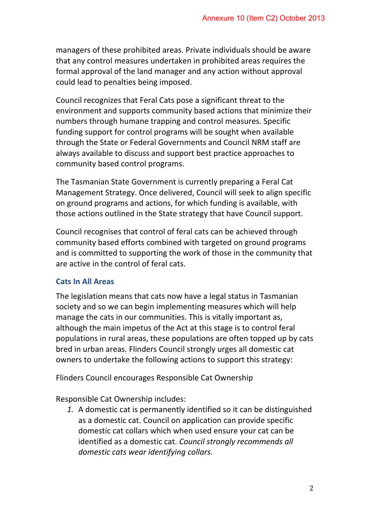managers of these prohibited areas. Private individuals should be aware that any control measures undertaken in prohibited areas requires the formal approval of the land manager and any action without approval could lead to penalties being imposed.

Council recognizes that Feral Cats pose a significant threat to the environment and supports community based actions that minimize their numbers through humane trapping and control measures. Specific funding support for control programs will be sought when available through the State or Federal Governments and Council NRM staff are always available to discuss and support best practice approaches to community based control programs.

The Tasmanian State Government is currently preparing a Feral Cat Management Strategy. Once delivered, Council will seek to align specific on ground programs and actions, for which funding is available, with those actions outlined in the State strategy that have Council support.

Council recognises that control of feral cats can be achieved through community based efforts combined with targeted on ground programs and is committed to supporting the work of those in the community that are active in the control of feral cats.

## **Cats In All Areas**

The legislation means that cats now have a legal status in Tasmanian society and so we can begin implementing measures which will help manage the cats in our communities. This is vitally important as, although the main impetus of the Act at this stage is to control feral populations in rural areas, these populations are often topped up by cats bred in urban areas. Flinders Council strongly urges all domestic cat owners to undertake the following actions to support this strategy:

Flinders Council encourages Responsible Cat Ownership

Responsible Cat Ownership includes:

*1.* A domestic cat is permanently identified so it can be distinguished as a domestic cat. Council on application can provide specific domestic cat collars which when used ensure your cat can be identified as a domestic cat. *Council strongly recommends all domestic cats wear identifying collars.*